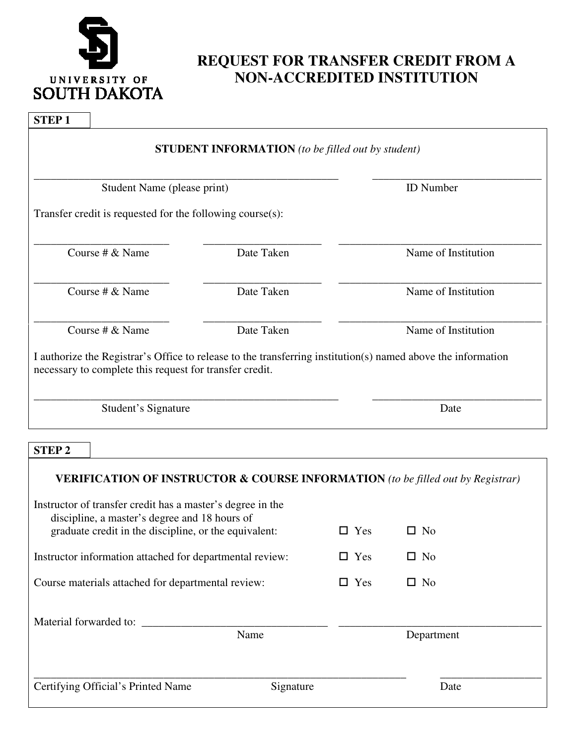

# **REQUEST FOR TRANSFER CREDIT FROM A NON-ACCREDITED INSTITUTION**

## **STEP 1**

|                                                               | <b>STUDENT INFORMATION</b> (to be filled out by student) |                                                                                                              |  |
|---------------------------------------------------------------|----------------------------------------------------------|--------------------------------------------------------------------------------------------------------------|--|
| Student Name (please print)                                   |                                                          | <b>ID</b> Number                                                                                             |  |
| Transfer credit is requested for the following course $(s)$ : |                                                          |                                                                                                              |  |
| Course # $&$ Name                                             | Date Taken                                               | Name of Institution                                                                                          |  |
| Course # $&$ Name                                             | Date Taken                                               | Name of Institution                                                                                          |  |
| Course # $&$ Name                                             | Date Taken                                               | Name of Institution                                                                                          |  |
| necessary to complete this request for transfer credit.       |                                                          | I authorize the Registrar's Office to release to the transferring institution(s) named above the information |  |
| Student's Signature                                           |                                                          | Date                                                                                                         |  |

### **STEP 2**

| <b>VERIFICATION OF INSTRUCTOR &amp; COURSE INFORMATION</b> (to be filled out by Registrar)                                                                           |           |            |            |
|----------------------------------------------------------------------------------------------------------------------------------------------------------------------|-----------|------------|------------|
| Instructor of transfer credit has a master's degree in the<br>discipline, a master's degree and 18 hours of<br>graduate credit in the discipline, or the equivalent: |           | $\Box$ Yes | $\Box$ No  |
| Instructor information attached for departmental review:                                                                                                             |           | $\Box$ Yes | $\Box$ No  |
| Course materials attached for departmental review:                                                                                                                   |           | $\Box$ Yes | $\Box$ No  |
| Material forwarded to:                                                                                                                                               |           |            |            |
| Name                                                                                                                                                                 |           |            | Department |
|                                                                                                                                                                      |           |            |            |
| Certifying Official's Printed Name                                                                                                                                   | Signature |            | Date       |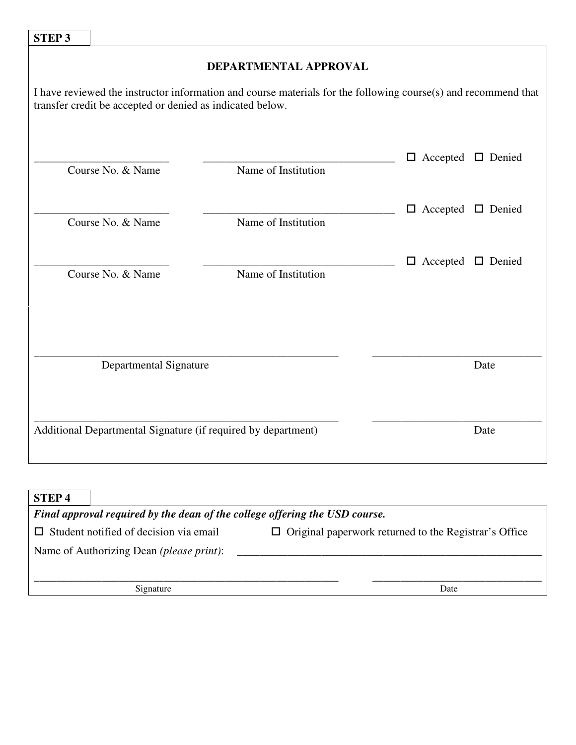| <b>STEP 3</b>                                                                                                                                                                                        |                        |                     |                               |      |  |
|------------------------------------------------------------------------------------------------------------------------------------------------------------------------------------------------------|------------------------|---------------------|-------------------------------|------|--|
| DEPARTMENTAL APPROVAL<br>I have reviewed the instructor information and course materials for the following course(s) and recommend that<br>transfer credit be accepted or denied as indicated below. |                        |                     |                               |      |  |
|                                                                                                                                                                                                      | Course No. & Name      | Name of Institution | $\Box$ Accepted $\Box$ Denied |      |  |
|                                                                                                                                                                                                      | Course No. & Name      | Name of Institution | $\Box$ Accepted $\Box$ Denied |      |  |
|                                                                                                                                                                                                      | Course No. & Name      | Name of Institution | $\Box$ Accepted $\Box$ Denied |      |  |
|                                                                                                                                                                                                      | Departmental Signature |                     |                               | Date |  |
|                                                                                                                                                                                                      |                        |                     |                               |      |  |
| Additional Departmental Signature (if required by department)                                                                                                                                        |                        |                     | Date                          |      |  |

| <b>STEP4</b>                                                                |                                                              |  |  |  |
|-----------------------------------------------------------------------------|--------------------------------------------------------------|--|--|--|
| Final approval required by the dean of the college offering the USD course. |                                                              |  |  |  |
| Student notified of decision via email<br>$\mathsf{L}$                      | $\Box$ Original paperwork returned to the Registrar's Office |  |  |  |
| Name of Authorizing Dean ( <i>please print</i> ):                           |                                                              |  |  |  |
|                                                                             |                                                              |  |  |  |
| Signature                                                                   | Date                                                         |  |  |  |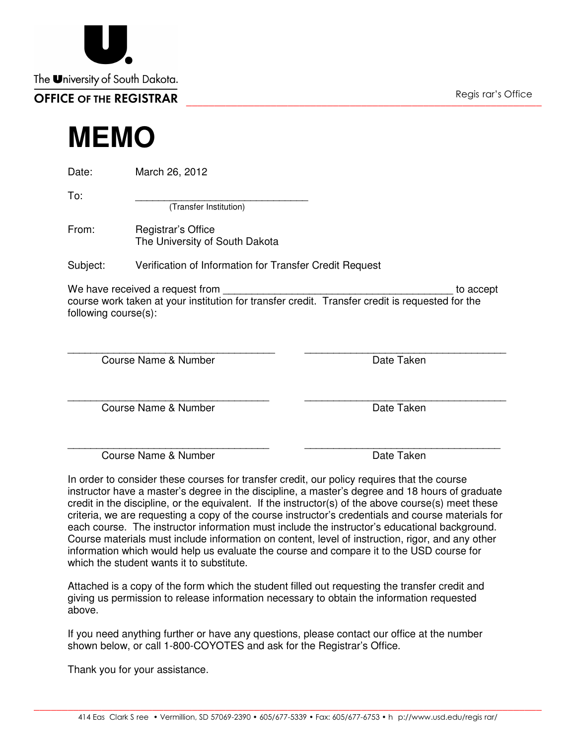414 Eas Clark S ree • Vermillion, SD 57069-2390 • 605/677-5339 • Fax: 605/677-6753 • h p://www.usd.edu/regis rar/ \_\_\_\_\_\_\_\_\_\_\_\_\_\_\_\_\_\_\_\_\_\_\_\_\_\_\_\_\_\_\_\_\_\_\_\_\_\_\_\_\_\_\_\_\_\_\_\_\_\_\_\_\_\_\_\_\_\_\_\_\_\_\_\_\_\_\_\_\_\_\_\_\_\_\_\_\_\_\_\_\_\_\_\_\_\_\_\_\_\_

| The University of South Dakota. |                    |
|---------------------------------|--------------------|
| <b>OFFICE OF THE REGISTRAR</b>  | Regis rar's Office |
| <b>MEMO</b>                     |                    |

Date: March 26, 2012

 $To:$ 

(Transfer Institution)

From: Registrar's Office The University of South Dakota

Subject: Verification of Information for Transfer Credit Request

 We have received a request from \_\_\_\_\_\_\_\_\_\_\_\_\_\_\_\_\_\_\_\_\_\_\_\_\_\_\_\_\_\_\_\_\_\_\_\_\_\_\_\_ to accept course work taken at your institution for transfer credit. Transfer credit is requested for the following course(s):

 Course Name & Number \_\_\_\_\_\_\_\_\_\_\_\_\_\_\_\_\_\_\_\_\_\_\_\_\_\_\_\_\_\_\_\_\_\_\_\_ Course Name & Number<br>
Course Name & Number<br>
Course Name & Number<br>
Course Name & Number<br>
Course Name & Number<br>
Course Name & Number<br>
Course Name & Number<br>
Course Name & Number<br>
Course Name & Number<br>
Course Name & Number<br>
Co

Course Name & Number

Course Name & Number

 In order to consider these courses for transfer credit, our policy requires that the course instructor have a master's degree in the discipline, a master's degree and 18 hours of graduate credit in the discipline, or the equivalent. If the instructor(s) of the above course(s) meet these criteria, we are requesting a copy of the course instructor's credentials and course materials for each course. The instructor information must include the instructor's educational background. Course materials must include information on content, level of instruction, rigor, and any other information which would help us evaluate the course and compare it to the USD course for which the student wants it to substitute.

 Attached is a copy of the form which the student filled out requesting the transfer credit and giving us permission to release information necessary to obtain the information requested above.

 If you need anything further or have any questions, please contact our office at the number shown below, or call 1-800-COYOTES and ask for the Registrar's Office.

Thank you for your assistance.

Date Taken

\_\_\_\_\_\_\_\_\_\_\_\_\_\_\_\_\_\_\_\_\_\_\_\_\_\_\_\_\_\_\_\_\_\_\_ Date Taken

\_\_\_\_\_\_\_\_\_\_\_\_\_\_\_\_\_\_\_\_\_\_\_\_\_\_\_\_\_\_\_\_\_\_

Date Taken